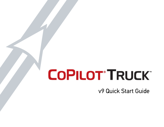# **COPILOT TRUCK**

v9 Quick Start Guide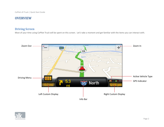# **overview**

## **Driving Screen**

Most of your time using CoPIlot Truck will be spent on this screen. Let's take a moment and get familiar with the items you can interact with.



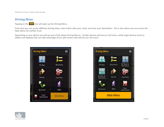CoPilot v9 Truck | Quick Start Guide

## **Driving Menu**

Tapping on the **interpretate in will open up the Driving Menu.** 

From here you can access different driving views, view and/or alter your route, and clear your destination. This is also where you can access the Main Menu for CoPIlot Truck.

Depending on your device you will see one of the below Driving Menus. Smaller devices will see our 2x3 menu, while larger devices (such as tablets and laptops) that can take advantage of our split screen view will see our 3x3 menu.





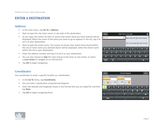# **Enter a destination**

## **Address**

- In the main menu, tap **Go To > Address**
- Start to type the city, town name, or zip code of the destination
- As you type, the names of cities or towns that match what you have entered will be displayed. When the name of the place you want to go to appears in the list, tap it to set it as your destination.
- Start to type the street name. The names of streets that match those found within the city or town name you selected above will be displayed. Select the street name within the list as your destination.
- Enter the address number and tap it to set it as your destination.
- You can also choose to **skip** this step and go to the town or city center, or select a **cross street** to navigate to an intersection.
- Tap **GO** to begin navigating.

### **Coordinates**

Use coordinates to enter a specific location as a destination.

- In the **Go To** menu, tap **Coordinates.**
- You can enter a destination using Decimal Degrees.
- Enter the latitude and longitude values in the format that you are asked for and then tap **Next**.
- Tap **GO** to begin navigating there



| <b>Back</b> |                |        |        | <b>Decimal Degrees</b>  |   |    |                                   |   | Next |  |
|-------------|----------------|--------|--------|-------------------------|---|----|-----------------------------------|---|------|--|
| Latitude    |                |        |        | Longitude               |   |    |                                   |   |      |  |
| ddd.dddddd  |                |        |        | ddd.dddddd              |   |    |                                   |   |      |  |
| S<br>N      |                |        | E      |                         | W |    |                                   |   |      |  |
|             | $\overline{2}$ | 3      | 4      | 5                       | 6 |    | 8                                 | 9 |      |  |
| −           |                | в<br>н | о<br>, |                         |   | \$ | &                                 | @ |      |  |
|             | 6              |        | п      | $\overline{\mathbf{c}}$ |   | п  | п<br>$\left( \frac{1}{2} \right)$ |   |      |  |
| abc         |                |        |        |                         |   |    |                                   |   |      |  |

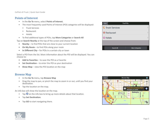CoPilot v9 Truck | Quick Start Guide

### **Points of Interest**

- In the **Go To** menu, select **Points of Interest.**
- The most frequently used Points of Interest (POI) categories will be displayed:
	- Truck Services
	- **Restaurant**
	- Hotels
- To find additional types of POIs, tap **More Categories** or **Search All**

Tap on **Search Nearby** at the top of the screen and choose from:

- **• Nearby** to find POIs that are close to your current location
- **• On My Route** to find POIs along your route
- **• In Different City** for POIs in a certain city or town

Select a POI from the list. More information about the POI will be displayed. You can choose to:

- **• Add to Favorites** to save the POI as a Favorite
- **• Set Destination** to enter the POI as your destination
- **• Show Map** view the POI location on the map

## **Browse Map**

- In the **Go To** menu, tap **Browse Map**
- Drag the map to pan, or pinch the map to zoom in or out, until you find your destination.
- Tap the location on the map.

An info box will show the location on the map.

- Tap  $\bullet$  on the info box to bring up more details about that location.
- Tap **Set Destination.**
- Tap **GO** to start navigating there.

| <b>Back</b>         | <b>Find POIs</b>       |  |  |  |  |
|---------------------|------------------------|--|--|--|--|
| C Truck Services    |                        |  |  |  |  |
| <b>O</b> Restaurant |                        |  |  |  |  |
| <b>O</b> Hotels     |                        |  |  |  |  |
|                     |                        |  |  |  |  |
| Search All          | <b>More Categories</b> |  |  |  |  |